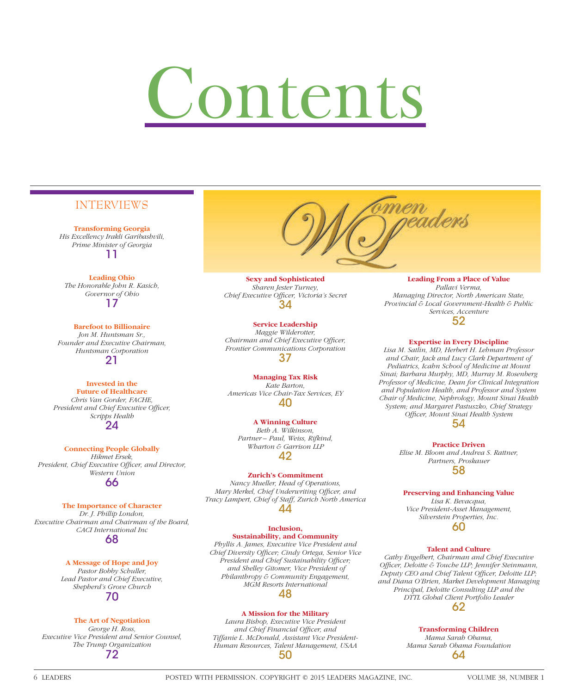# Contents

# INTERVIEWS

**Transforming Georgia** *His Excellency Irakli Garibashvili, Prime Minister of Georgia* 11

**Leading Ohio** *The Honorable John R. Kasich, Governor of Ohio* 17

**Barefoot to Billionaire** *Jon M. Huntsman Sr., Founder and Executive Chairman, Huntsman Corporation* 21

**Invested in the Future of Healthcare** *Chris Van Gorder, FACHE,*  **President and Chief Executive Officer,** *Scripps Health* 24

**Connecting People Globally** *Hikmet Ersek,*  President, Chief Executive Officer, and Director, *Western Union* 66

**The Importance of Character** *Dr. J. Phillip London, Executive Chairman and Chairman of the Board, CACI International Inc* 68

#### **A Message of Hope and Joy** *Pastor Bobby Schuller, Lead Pastor and Chief Executive, Shepherd's Grove Church*

70

# **The Art of Negotiation**

*George H. Ross, Executive Vice President and Senior Counsel, The Trump Organization* 72



**Sexy and Sophisticated** *Sharen Jester Turney,*  Chief Executive Officer, Victoria's Secret 34

**Service Leadership**

*Maggie Wilderotter, Chairman and Chief Executive Officer, Frontier Communications Corporation* 37

**Managing Tax Risk** *Kate Barton, Americas Vice Chair-Tax Services, EY* 40

**A Winning Culture** *Beth A. Wilkinson, Partner – Paul, Weiss, Rifkind, Wharton & Garrison LLP* 42

## **Zurich's Commitment**

*Nancy Mueller, Head of Operations, Mary Merkel, Chief Underwriting Officer, and Tracy Lampert, Chief of Staff, Zurich North America* 44

#### **Inclusion, Sustainability, and Community**

*Phyllis A. James, Executive Vice President and Chief Diversity Offi cer; Cindy Ortega, Senior Vice*  President and Chief Sustainability Officer;  *and Shelley Gitomer, Vice President of Philanthropy & Community Engagement, MGM Resorts International* 48

## **A Mission for the Military**

*Laura Bishop, Executive Vice President and Chief Financial Officer, and Tiffanie L. McDonald, Assistant Vice President-Human Resources, Talent Management, USAA* 50

#### **Leading From a Place of Value** *Pallavi Verma, Managing Director, North American State,*

*Provincial & Local Government-Health & Public Services, Accenture* 52

### **Expertise in Every Discipline**

*Lisa M. Satlin, MD, Herbert H. Lehman Professor and Chair, Jack and Lucy Clark Department of Pediatrics, Icahn School of Medicine at Mount Sinai; Barbara Murphy, MD, Murray M. Rosenberg Professor of Medicine, Dean for Clinical Integration and Population Health, and Professor and System Chair of Medicine, Nephrology, Mount Sinai Health System; and Margaret Pastuszko, Chief Strategy Offi cer, Mount Sinai Health System*



**Practice Driven** *Elise M. Bloom and Andrea S. Rattner, Partners, Proskauer* 58

# **Preserving and Enhancing Value**

*Lisa K. Bevacqua, Vice President-Asset Management, Silverstein Properties, Inc.* 60

### **Talent and Culture**

*Cathy Engelbert, Chairman and Chief Executive Offi cer, Deloitte & Touche LLP; Jennifer Steinmann,*  Deputy CEO and Chief Talent Officer, Deloitte LLP; *and Diana O'Brien, Market Development Managing Principal, Deloitte Consulting LLP and the DTTL Global Client Portfolio Leader* 62

> **Transforming Children** *Mama Sarah Obama, Mama Sarah Obama Foundation*

> > 64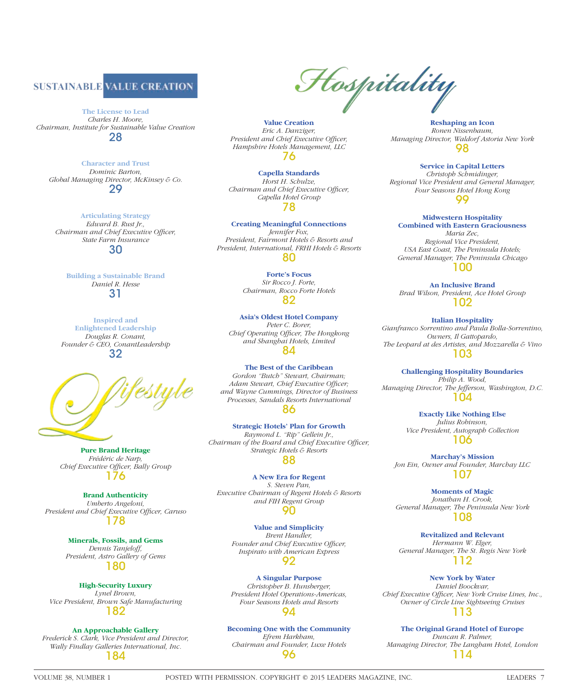

**The License to Lead** *Charles H. Moore, Chairman, Institute for Sustainable Value Creation* 28

> **Character and Trust** *Dominic Barton,*

*Global Managing Director, McKinsey & Co.* 29

**Articulating Strategy** *Edward B. Rust Jr., Chairman and Chief Executive Officer, State Farm Insurance* 30

**Building a Sustainable Brand** *Daniel R. Hesse* 31

**Inspired and Enlightened Leadership** *Douglas R. Conant, Founder & CEO, ConantLeadership* 32



**Pure Brand Heritage** *Frédéric de Narp, Chief Executive Officer, Bally Group* 176

**Brand Authenticity** *Umberto Angeloni,*  President and Chief Executive Officer, Caruso 178

> **Minerals, Fossils, and Gems** *Dennis Tanjeloff, President, Astro Gallery of Gems* 180

**High-Security Luxury** *Lynel Brown, Vice President, Brown Safe Manufacturing* 182

**An Approachable Gallery** *Frederick S. Clark, Vice President and Director, Wally Findlay Galleries International, Inc.* 184

Hospitality

**Value Creation** *Eric A. Danziger,*  **President and Chief Executive Officer,** *Hampshire Hotels Management, LLC* 76

**Capella Standards** *Horst H. Schulze, Chairman and Chief Executive Officer, Capella Hotel Group* 78

**Creating Meaningful Connections** *Jennifer Fox, President, Fairmont Hotels & Resorts and President, International, FRHI Hotels & Resorts* 80

> **Forte's Focus** *Sir Rocco J. Forte, Chairman, Rocco Forte Hotels* 82

#### **Asia's Oldest Hotel Company**

*Peter C. Borer, Chief Operating Officer, The Hongkong and Shanghai Hotels, Limited* 84

**The Best of the Caribbean**

*Gordon "Butch" Stewart, Chairman;*  Adam Stewart, Chief Executive Officer; *and Wayne Cummings, Director of Business Processes, Sandals Resorts International* 86

**Strategic Hotels' Plan for Growth** *Raymond L. "Rip" Gellein Jr., Chairman of the Board and Chief Executive Officer, Strategic Hotels & Resorts* 88

**A New Era for Regent** *S. Steven Pan, Executive Chairman of Regent Hotels & Resorts and FIH Regent Group* 90

**Value and Simplicity** *Brent Handler,* Founder and Chief Executive Officer, *Inspirato with American Express* 92

**A Singular Purpose** *Christopher B. Hunsberger, President Hotel Operations-Americas, Four Seasons Hotels and Resorts* 94

**Becoming One with the Community** *Efrem Harkham, Chairman and Founder, Luxe Hotels* 96

**Reshaping an Icon** *Ronen Nissenbaum, Managing Director, Waldorf Astoria New York* 98

**Service in Capital Letters**

*Christoph Schmidinger, Regional Vice President and General Manager, Four Seasons Hotel Hong Kong* 99

**Midwestern Hospitality** 

**Combined with Eastern Graciousness** *Maria Zec, Regional Vice President, USA East Coast, The Peninsula Hotels; General Manager, The Peninsula Chicago* 100

**An Inclusive Brand** *Brad Wilson, President, Ace Hotel Group* 102

**Italian Hospitality** *Gianfranco Sorrentino and Paula Bolla-Sorrentino, Owners, Il Gattopardo, The Leopard at des Artistes, and Mozzarella & Vino* 103

**Challenging Hospitality Boundaries** *Philip A. Wood, Managing Director, The Jefferson, Washington, D.C.* 104

> **Exactly Like Nothing Else** *Julius Robinson, Vice President, Autograph Collection* 106

**Marchay's Mission** *Jon Ein, Owner and Founder, Marchay LLC* 107

**Moments of Magic** *Jonathan H. Crook, General Manager, The Peninsula New York* 108

**Revitalized and Relevant** *Hermann W. Elger, General Manager, The St. Regis New York* 112

**New York by Water** *Daniel Boockvar, Chief Executive Officer, New York Cruise Lines, Inc., Owner of Circle Line Sightseeing Cruises* 113

**The Original Grand Hotel of Europe** *Duncan R. Palmer, Managing Director, The Langham Hotel, London* 114